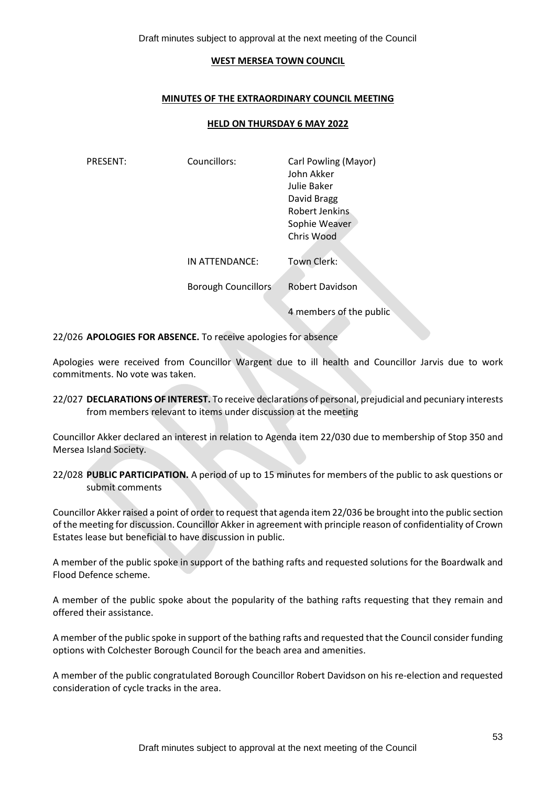Draft minutes subject to approval at the next meeting of the Council

#### **WEST MERSEA TOWN COUNCIL**

#### **MINUTES OF THE EXTRAORDINARY COUNCIL MEETING**

#### **HELD ON THURSDAY 6 MAY 2022**

| PRESENT: | Councillors:        | Carl Powling (Mayor)<br>John Akker<br>Julie Baker<br>David Bragg<br>Robert Jenkins<br>Sophie Weaver<br>Chris Wood |
|----------|---------------------|-------------------------------------------------------------------------------------------------------------------|
|          | IN ATTENDANCE:      | Town Clerk:                                                                                                       |
|          | Borough Councillors | <b>Robert Davidson</b>                                                                                            |
|          |                     | 4 members of the public                                                                                           |

22/026 **APOLOGIES FOR ABSENCE.** To receive apologies for absence

Apologies were received from Councillor Wargent due to ill health and Councillor Jarvis due to work commitments. No vote was taken.

22/027 **DECLARATIONS OF INTEREST.** To receive declarations of personal, prejudicial and pecuniary interests from members relevant to items under discussion at the meeting

Councillor Akker declared an interest in relation to Agenda item 22/030 due to membership of Stop 350 and Mersea Island Society.

22/028 **PUBLIC PARTICIPATION.** A period of up to 15 minutes for members of the public to ask questions or submit comments

Councillor Akker raised a point of order to request that agenda item 22/036 be brought into the public section of the meeting for discussion. Councillor Akker in agreement with principle reason of confidentiality of Crown Estates lease but beneficial to have discussion in public.

A member of the public spoke in support of the bathing rafts and requested solutions for the Boardwalk and Flood Defence scheme.

A member of the public spoke about the popularity of the bathing rafts requesting that they remain and offered their assistance.

A member of the public spoke in support of the bathing rafts and requested that the Council consider funding options with Colchester Borough Council for the beach area and amenities.

A member of the public congratulated Borough Councillor Robert Davidson on his re-election and requested consideration of cycle tracks in the area.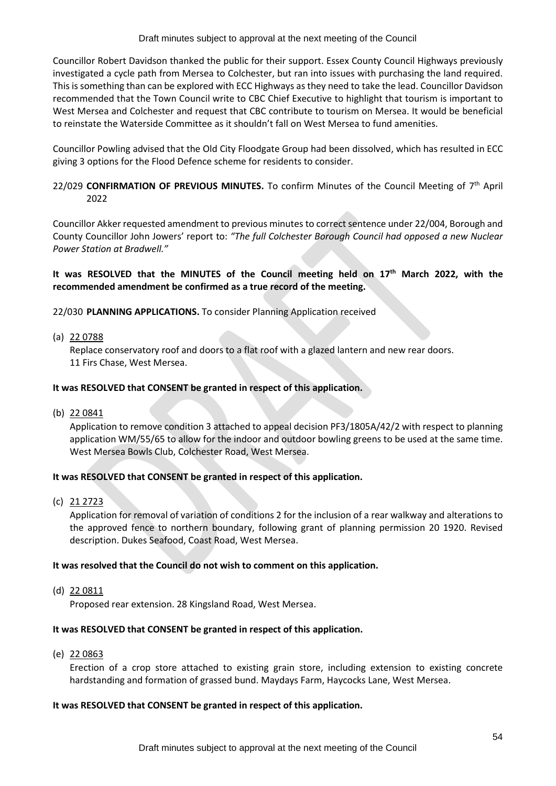Draft minutes subject to approval at the next meeting of the Council

Councillor Robert Davidson thanked the public for their support. Essex County Council Highways previously investigated a cycle path from Mersea to Colchester, but ran into issues with purchasing the land required. This is something than can be explored with ECC Highways as they need to take the lead. Councillor Davidson recommended that the Town Council write to CBC Chief Executive to highlight that tourism is important to West Mersea and Colchester and request that CBC contribute to tourism on Mersea. It would be beneficial to reinstate the Waterside Committee as it shouldn't fall on West Mersea to fund amenities.

Councillor Powling advised that the Old City Floodgate Group had been dissolved, which has resulted in ECC giving 3 options for the Flood Defence scheme for residents to consider.

# 22/029 CONFIRMATION OF PREVIOUS MINUTES. To confirm Minutes of the Council Meeting of 7<sup>th</sup> April 2022

Councillor Akker requested amendment to previous minutes to correct sentence under 22/004, Borough and County Councillor John Jowers' report to: *"The full Colchester Borough Council had opposed a new Nuclear Power Station at Bradwell."*

# **It was RESOLVED that the MINUTES of the Council meeting held on 17th March 2022, with the recommended amendment be confirmed as a true record of the meeting.**

22/030 **PLANNING APPLICATIONS.** To consider Planning Application received

(a) 22 0788

Replace conservatory roof and doors to a flat roof with a glazed lantern and new rear doors. 11 Firs Chase, West Mersea.

## **It was RESOLVED that CONSENT be granted in respect of this application.**

(b) 22 0841

Application to remove condition 3 attached to appeal decision PF3/1805A/42/2 with respect to planning application WM/55/65 to allow for the indoor and outdoor bowling greens to be used at the same time. West Mersea Bowls Club, Colchester Road, West Mersea.

## **It was RESOLVED that CONSENT be granted in respect of this application.**

(c) 21 2723

Application for removal of variation of conditions 2 for the inclusion of a rear walkway and alterations to the approved fence to northern boundary, following grant of planning permission 20 1920. Revised description. Dukes Seafood, Coast Road, West Mersea.

## **It was resolved that the Council do not wish to comment on this application.**

(d) 22 0811

Proposed rear extension. 28 Kingsland Road, West Mersea.

## **It was RESOLVED that CONSENT be granted in respect of this application.**

(e) 22 0863

Erection of a crop store attached to existing grain store, including extension to existing concrete hardstanding and formation of grassed bund. Maydays Farm, Haycocks Lane, West Mersea.

## **It was RESOLVED that CONSENT be granted in respect of this application.**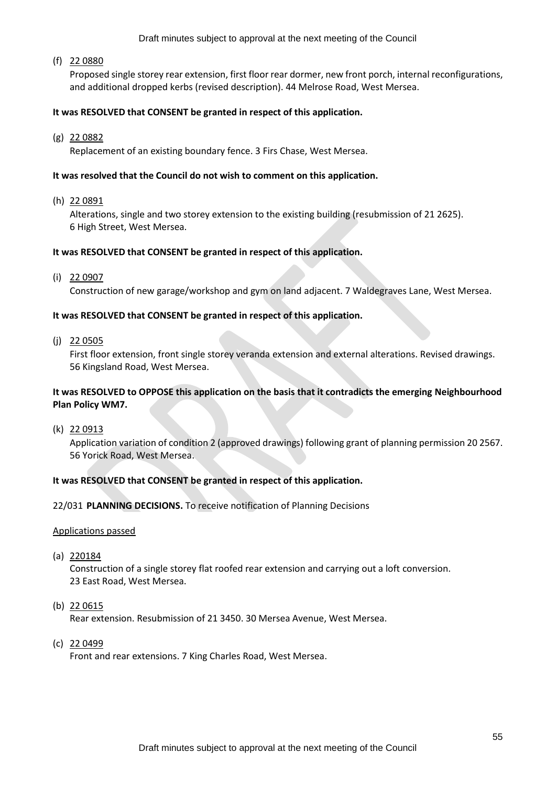Draft minutes subject to approval at the next meeting of the Council

(f) 22 0880

Proposed single storey rear extension, first floor rear dormer, new front porch, internal reconfigurations, and additional dropped kerbs (revised description). 44 Melrose Road, West Mersea.

## **It was RESOLVED that CONSENT be granted in respect of this application.**

(g) 22 0882

Replacement of an existing boundary fence. 3 Firs Chase, West Mersea.

### **It was resolved that the Council do not wish to comment on this application.**

(h) 22 0891

Alterations, single and two storey extension to the existing building (resubmission of 21 2625). 6 High Street, West Mersea.

#### **It was RESOLVED that CONSENT be granted in respect of this application.**

(i) 22 0907

Construction of new garage/workshop and gym on land adjacent. 7 Waldegraves Lane, West Mersea.

#### **It was RESOLVED that CONSENT be granted in respect of this application.**

(j) 22 0505

First floor extension, front single storey veranda extension and external alterations. Revised drawings. 56 Kingsland Road, West Mersea.

## **It was RESOLVED to OPPOSE this application on the basis that it contradicts the emerging Neighbourhood Plan Policy WM7.**

(k) 22 0913

Application variation of condition 2 (approved drawings) following grant of planning permission 20 2567. 56 Yorick Road, West Mersea.

## **It was RESOLVED that CONSENT be granted in respect of this application.**

22/031 **PLANNING DECISIONS.** To receive notification of Planning Decisions

#### Applications passed

(a) 220184

Construction of a single storey flat roofed rear extension and carrying out a loft conversion. 23 East Road, West Mersea.

(b) 22 0615

Rear extension. Resubmission of 21 3450. 30 Mersea Avenue, West Mersea.

(c) 22 0499

Front and rear extensions. 7 King Charles Road, West Mersea.